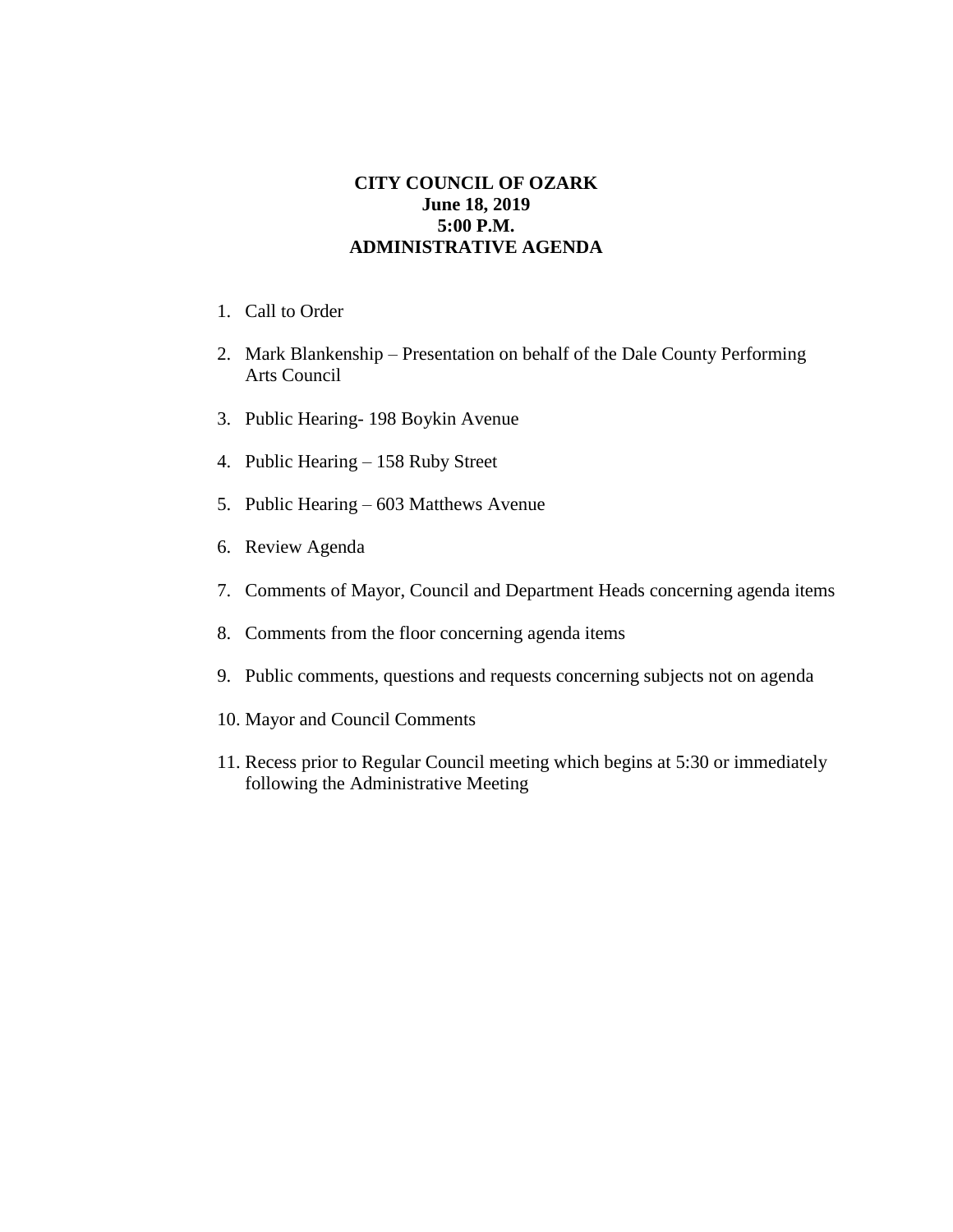## **CITY COUNCIL OF OZARK June 18, 2019 5:00 P.M. ADMINISTRATIVE AGENDA**

- 1. Call to Order
- 2. Mark Blankenship Presentation on behalf of the Dale County Performing Arts Council
- 3. Public Hearing- 198 Boykin Avenue
- 4. Public Hearing 158 Ruby Street
- 5. Public Hearing 603 Matthews Avenue
- 6. Review Agenda
- 7. Comments of Mayor, Council and Department Heads concerning agenda items
- 8. Comments from the floor concerning agenda items
- 9. Public comments, questions and requests concerning subjects not on agenda
- 10. Mayor and Council Comments
- 11. Recess prior to Regular Council meeting which begins at 5:30 or immediately following the Administrative Meeting